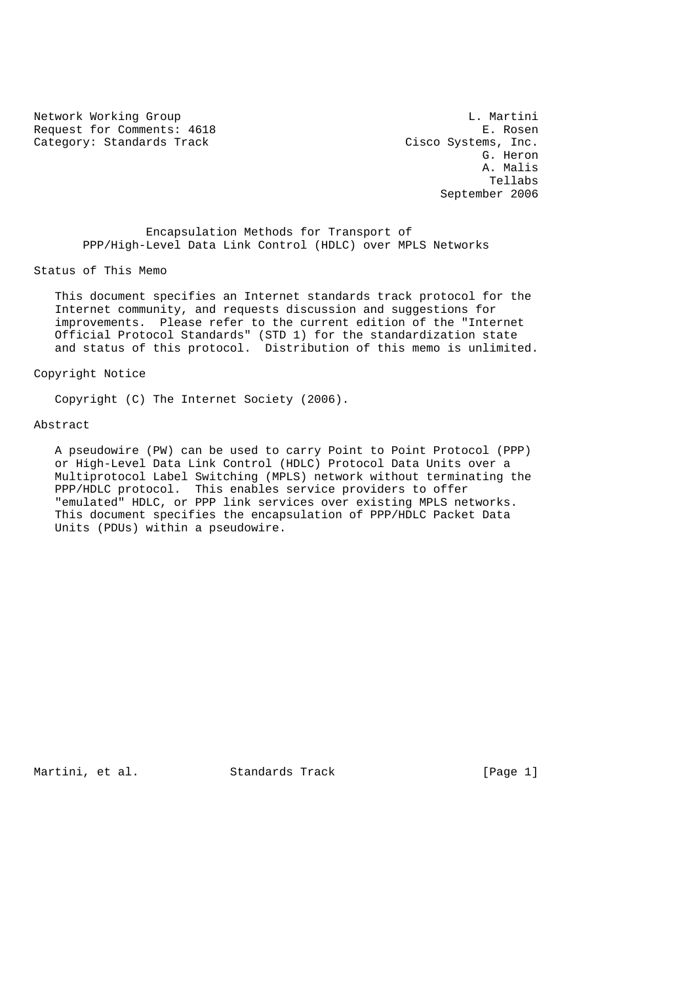Network Working Group and the control of the control of the control of the control of the control of the control of the control of the control of the control of the control of the control of the control of the control of t Request for Comments: 4618 E. Rosen<br>Category: Standards Track Cisco Systems, Inc. Category: Standards Track

 G. Heron A. Malis Tellabs September 2006

 Encapsulation Methods for Transport of PPP/High-Level Data Link Control (HDLC) over MPLS Networks

Status of This Memo

 This document specifies an Internet standards track protocol for the Internet community, and requests discussion and suggestions for improvements. Please refer to the current edition of the "Internet Official Protocol Standards" (STD 1) for the standardization state and status of this protocol. Distribution of this memo is unlimited.

Copyright Notice

Copyright (C) The Internet Society (2006).

#### Abstract

 A pseudowire (PW) can be used to carry Point to Point Protocol (PPP) or High-Level Data Link Control (HDLC) Protocol Data Units over a Multiprotocol Label Switching (MPLS) network without terminating the PPP/HDLC protocol. This enables service providers to offer "emulated" HDLC, or PPP link services over existing MPLS networks. This document specifies the encapsulation of PPP/HDLC Packet Data Units (PDUs) within a pseudowire.

Martini, et al. Standards Track [Page 1]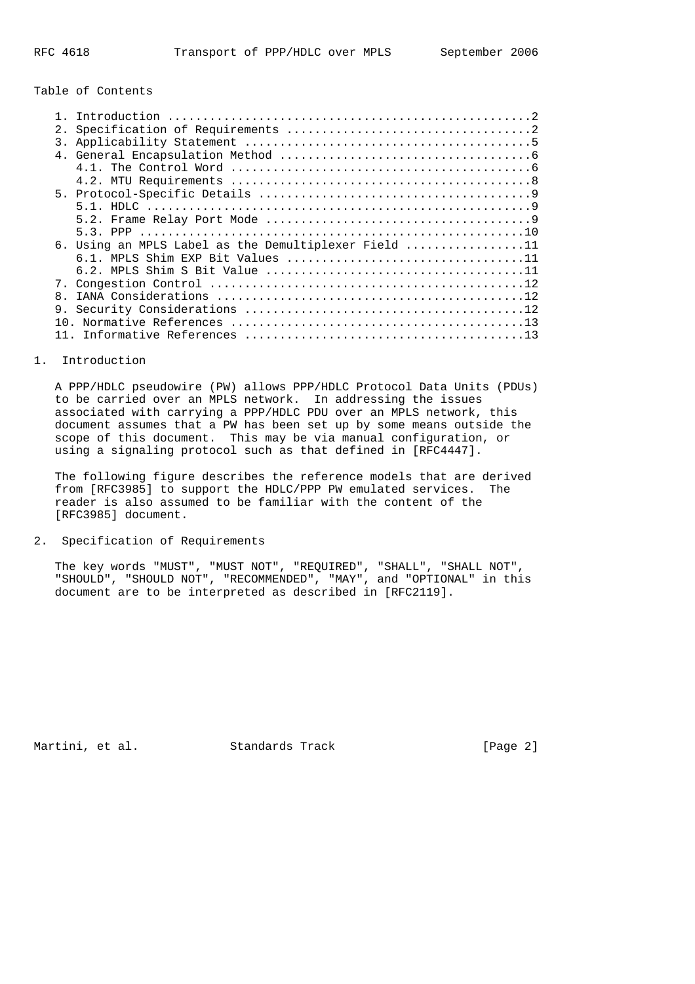# Table of Contents

| 2. |                                                      |
|----|------------------------------------------------------|
| 3. |                                                      |
|    |                                                      |
|    |                                                      |
|    |                                                      |
|    |                                                      |
|    |                                                      |
|    |                                                      |
|    |                                                      |
|    | 6. Using an MPLS Label as the Demultiplexer Field 11 |
|    |                                                      |
|    |                                                      |
|    |                                                      |
| 8. |                                                      |
| 9. |                                                      |
|    |                                                      |
|    |                                                      |

## 1. Introduction

 A PPP/HDLC pseudowire (PW) allows PPP/HDLC Protocol Data Units (PDUs) to be carried over an MPLS network. In addressing the issues associated with carrying a PPP/HDLC PDU over an MPLS network, this document assumes that a PW has been set up by some means outside the scope of this document. This may be via manual configuration, or using a signaling protocol such as that defined in [RFC4447].

 The following figure describes the reference models that are derived from [RFC3985] to support the HDLC/PPP PW emulated services. The reader is also assumed to be familiar with the content of the [RFC3985] document.

# 2. Specification of Requirements

 The key words "MUST", "MUST NOT", "REQUIRED", "SHALL", "SHALL NOT", "SHOULD", "SHOULD NOT", "RECOMMENDED", "MAY", and "OPTIONAL" in this document are to be interpreted as described in [RFC2119].

Martini, et al. Standards Track [Page 2]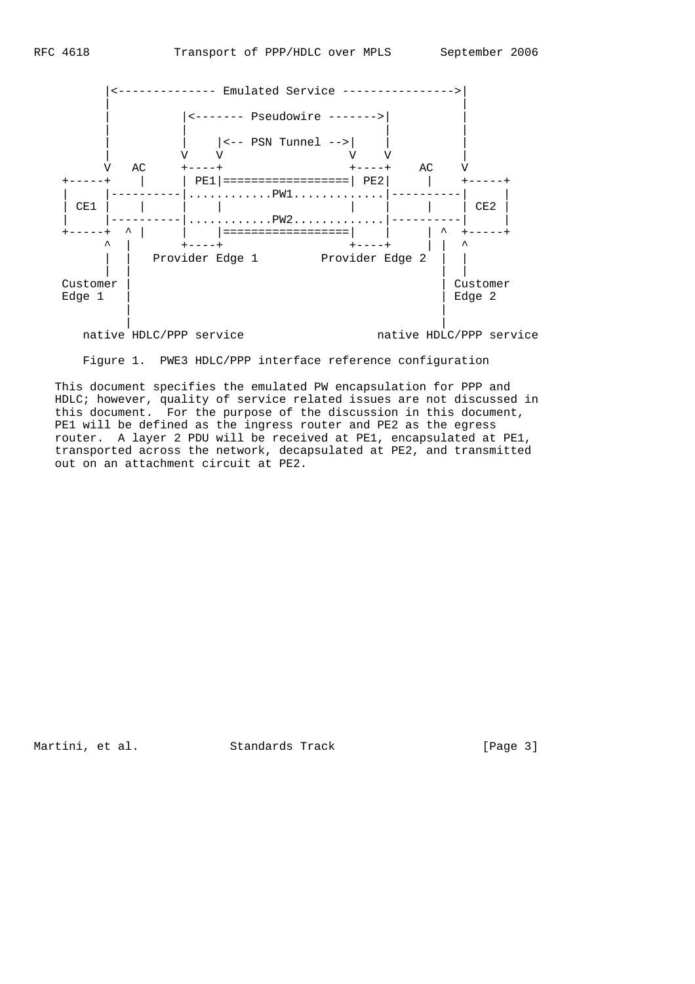

Figure 1. PWE3 HDLC/PPP interface reference configuration

 This document specifies the emulated PW encapsulation for PPP and HDLC; however, quality of service related issues are not discussed in this document. For the purpose of the discussion in this document, PE1 will be defined as the ingress router and PE2 as the egress router. A layer 2 PDU will be received at PE1, encapsulated at PE1, transported across the network, decapsulated at PE2, and transmitted out on an attachment circuit at PE2.

Martini, et al. Standards Track [Page 3]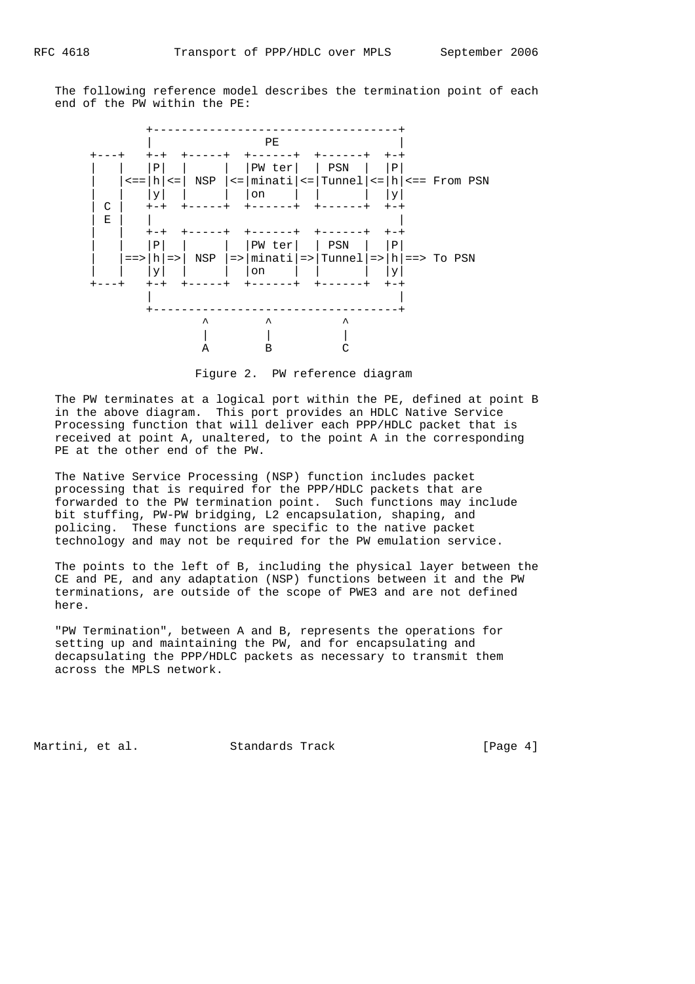The following reference model describes the termination point of each end of the PW within the PE:



Figure 2. PW reference diagram

 The PW terminates at a logical port within the PE, defined at point B in the above diagram. This port provides an HDLC Native Service Processing function that will deliver each PPP/HDLC packet that is received at point A, unaltered, to the point A in the corresponding PE at the other end of the PW.

 The Native Service Processing (NSP) function includes packet processing that is required for the PPP/HDLC packets that are forwarded to the PW termination point. Such functions may include bit stuffing, PW-PW bridging, L2 encapsulation, shaping, and policing. These functions are specific to the native packet technology and may not be required for the PW emulation service.

 The points to the left of B, including the physical layer between the CE and PE, and any adaptation (NSP) functions between it and the PW terminations, are outside of the scope of PWE3 and are not defined here.

 "PW Termination", between A and B, represents the operations for setting up and maintaining the PW, and for encapsulating and decapsulating the PPP/HDLC packets as necessary to transmit them across the MPLS network.

Martini, et al. Standards Track [Page 4]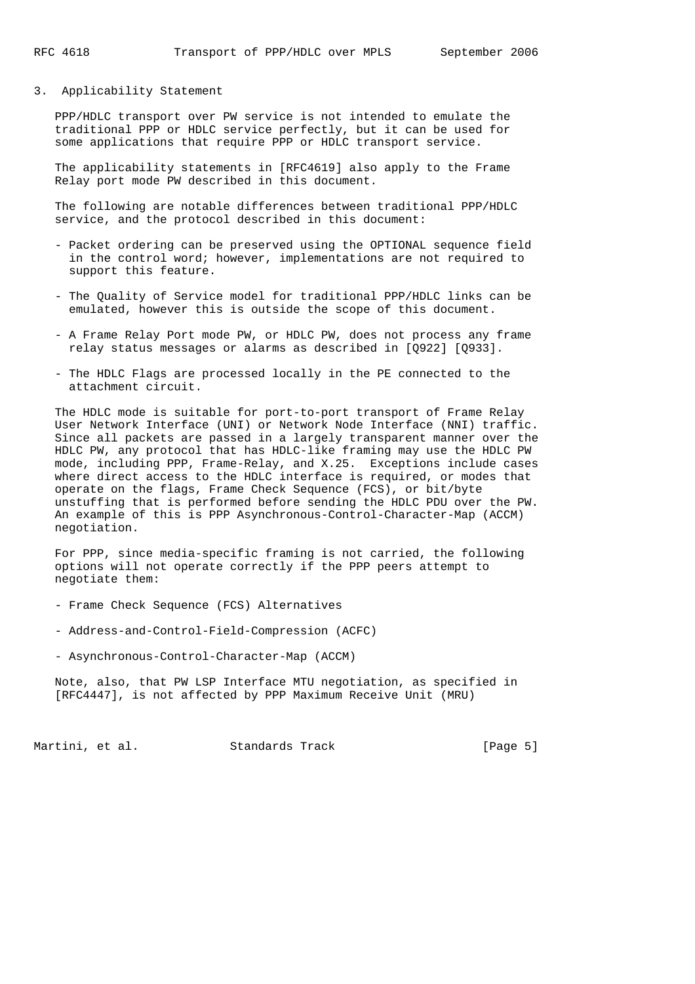#### 3. Applicability Statement

 PPP/HDLC transport over PW service is not intended to emulate the traditional PPP or HDLC service perfectly, but it can be used for some applications that require PPP or HDLC transport service.

 The applicability statements in [RFC4619] also apply to the Frame Relay port mode PW described in this document.

 The following are notable differences between traditional PPP/HDLC service, and the protocol described in this document:

- Packet ordering can be preserved using the OPTIONAL sequence field in the control word; however, implementations are not required to support this feature.
- The Quality of Service model for traditional PPP/HDLC links can be emulated, however this is outside the scope of this document.
- A Frame Relay Port mode PW, or HDLC PW, does not process any frame relay status messages or alarms as described in [Q922] [Q933].
- The HDLC Flags are processed locally in the PE connected to the attachment circuit.

 The HDLC mode is suitable for port-to-port transport of Frame Relay User Network Interface (UNI) or Network Node Interface (NNI) traffic. Since all packets are passed in a largely transparent manner over the HDLC PW, any protocol that has HDLC-like framing may use the HDLC PW mode, including PPP, Frame-Relay, and X.25. Exceptions include cases where direct access to the HDLC interface is required, or modes that operate on the flags, Frame Check Sequence (FCS), or bit/byte unstuffing that is performed before sending the HDLC PDU over the PW. An example of this is PPP Asynchronous-Control-Character-Map (ACCM) negotiation.

 For PPP, since media-specific framing is not carried, the following options will not operate correctly if the PPP peers attempt to negotiate them:

- Frame Check Sequence (FCS) Alternatives
- Address-and-Control-Field-Compression (ACFC)
- Asynchronous-Control-Character-Map (ACCM)

 Note, also, that PW LSP Interface MTU negotiation, as specified in [RFC4447], is not affected by PPP Maximum Receive Unit (MRU)

Martini, et al. Standards Track [Page 5]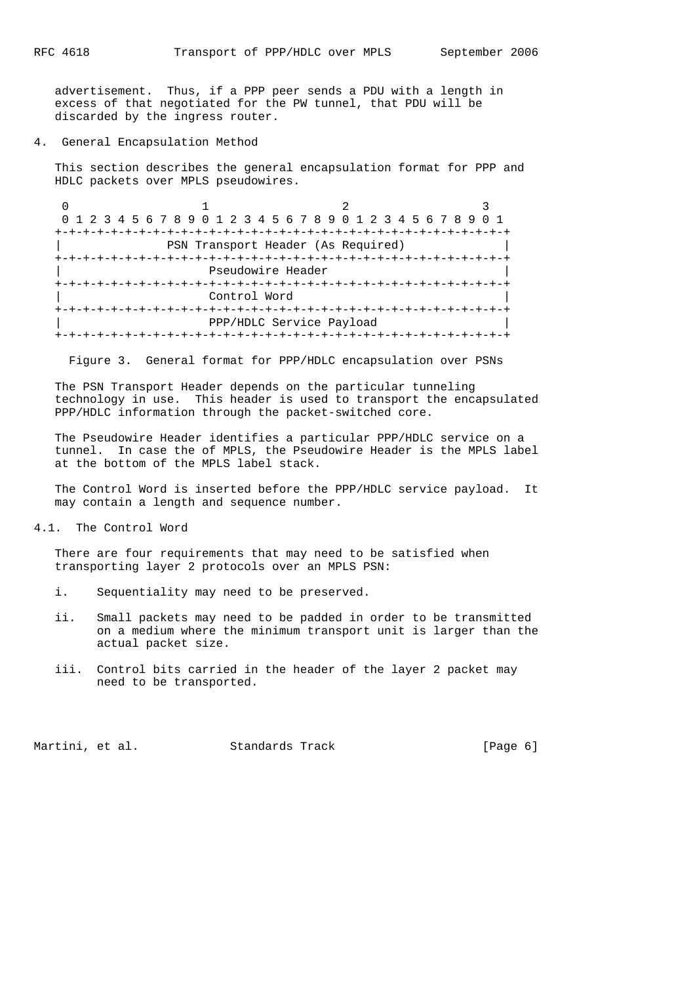advertisement. Thus, if a PPP peer sends a PDU with a length in excess of that negotiated for the PW tunnel, that PDU will be discarded by the ingress router.

# 4. General Encapsulation Method

 This section describes the general encapsulation format for PPP and HDLC packets over MPLS pseudowires.

0  $1$  2 3 0 1 2 3 4 5 6 7 8 9 0 1 2 3 4 5 6 7 8 9 0 1 2 3 4 5 6 7 8 9 0 1 +-+-+-+-+-+-+-+-+-+-+-+-+-+-+-+-+-+-+-+-+-+-+-+-+-+-+-+-+-+-+-+-+ PSN Transport Header (As Required) +-+-+-+-+-+-+-+-+-+-+-+-+-+-+-+-+-+-+-+-+-+-+-+-+-+-+-+-+-+-+-+-+ Pseudowire Header +-+-+-+-+-+-+-+-+-+-+-+-+-+-+-+-+-+-+-+-+-+-+-+-+-+-+-+-+-+-+-+-+ Control Word +-+-+-+-+-+-+-+-+-+-+-+-+-+-+-+-+-+-+-+-+-+-+-+-+-+-+-+-+-+-+-+-+ PPP/HDLC Service Payload +-+-+-+-+-+-+-+-+-+-+-+-+-+-+-+-+-+-+-+-+-+-+-+-+-+-+-+-+-+-+-+-+

Figure 3. General format for PPP/HDLC encapsulation over PSNs

 The PSN Transport Header depends on the particular tunneling technology in use. This header is used to transport the encapsulated PPP/HDLC information through the packet-switched core.

 The Pseudowire Header identifies a particular PPP/HDLC service on a tunnel. In case the of MPLS, the Pseudowire Header is the MPLS label at the bottom of the MPLS label stack.

 The Control Word is inserted before the PPP/HDLC service payload. It may contain a length and sequence number.

4.1. The Control Word

There are four requirements that may need to be satisfied when transporting layer 2 protocols over an MPLS PSN:

- i. Sequentiality may need to be preserved.
- ii. Small packets may need to be padded in order to be transmitted on a medium where the minimum transport unit is larger than the actual packet size.
- iii. Control bits carried in the header of the layer 2 packet may need to be transported.

Martini, et al. Standards Track [Page 6]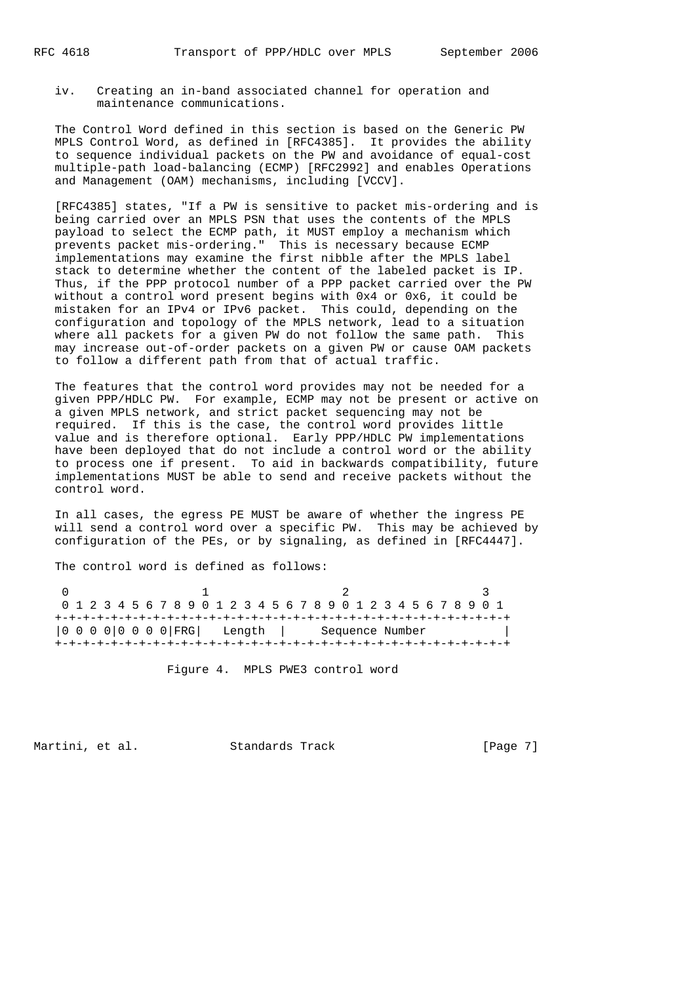iv. Creating an in-band associated channel for operation and maintenance communications.

 The Control Word defined in this section is based on the Generic PW MPLS Control Word, as defined in [RFC4385]. It provides the ability to sequence individual packets on the PW and avoidance of equal-cost multiple-path load-balancing (ECMP) [RFC2992] and enables Operations and Management (OAM) mechanisms, including [VCCV].

 [RFC4385] states, "If a PW is sensitive to packet mis-ordering and is being carried over an MPLS PSN that uses the contents of the MPLS payload to select the ECMP path, it MUST employ a mechanism which prevents packet mis-ordering." This is necessary because ECMP implementations may examine the first nibble after the MPLS label stack to determine whether the content of the labeled packet is IP. Thus, if the PPP protocol number of a PPP packet carried over the PW without a control word present begins with 0x4 or 0x6, it could be mistaken for an IPv4 or IPv6 packet. This could, depending on the configuration and topology of the MPLS network, lead to a situation where all packets for a given PW do not follow the same path. This may increase out-of-order packets on a given PW or cause OAM packets to follow a different path from that of actual traffic.

 The features that the control word provides may not be needed for a given PPP/HDLC PW. For example, ECMP may not be present or active on a given MPLS network, and strict packet sequencing may not be required. If this is the case, the control word provides little value and is therefore optional. Early PPP/HDLC PW implementations have been deployed that do not include a control word or the ability to process one if present. To aid in backwards compatibility, future implementations MUST be able to send and receive packets without the control word.

 In all cases, the egress PE MUST be aware of whether the ingress PE will send a control word over a specific PW. This may be achieved by configuration of the PEs, or by signaling, as defined in [RFC4447].

The control word is defined as follows:

| 0 1 2 3 4 5 6 7 8 9 0 1 2 3 4 5 6 7 8 9 0 1 2 3 4 5 6 7 8 9 0 1 |  |                                    |  |  |  |  |  |  |  |  |  |  |  |  |  |                 |  |  |  |  |  |  |  |  |  |  |  |  |  |
|-----------------------------------------------------------------|--|------------------------------------|--|--|--|--|--|--|--|--|--|--|--|--|--|-----------------|--|--|--|--|--|--|--|--|--|--|--|--|--|
|                                                                 |  |                                    |  |  |  |  |  |  |  |  |  |  |  |  |  |                 |  |  |  |  |  |  |  |  |  |  |  |  |  |
|                                                                 |  | $ 0 0 0 0 0 0 0 0 FRG $ Length $ $ |  |  |  |  |  |  |  |  |  |  |  |  |  | Sequence Number |  |  |  |  |  |  |  |  |  |  |  |  |  |
|                                                                 |  |                                    |  |  |  |  |  |  |  |  |  |  |  |  |  |                 |  |  |  |  |  |  |  |  |  |  |  |  |  |

Figure 4. MPLS PWE3 control word

Martini, et al. Standards Track [Page 7]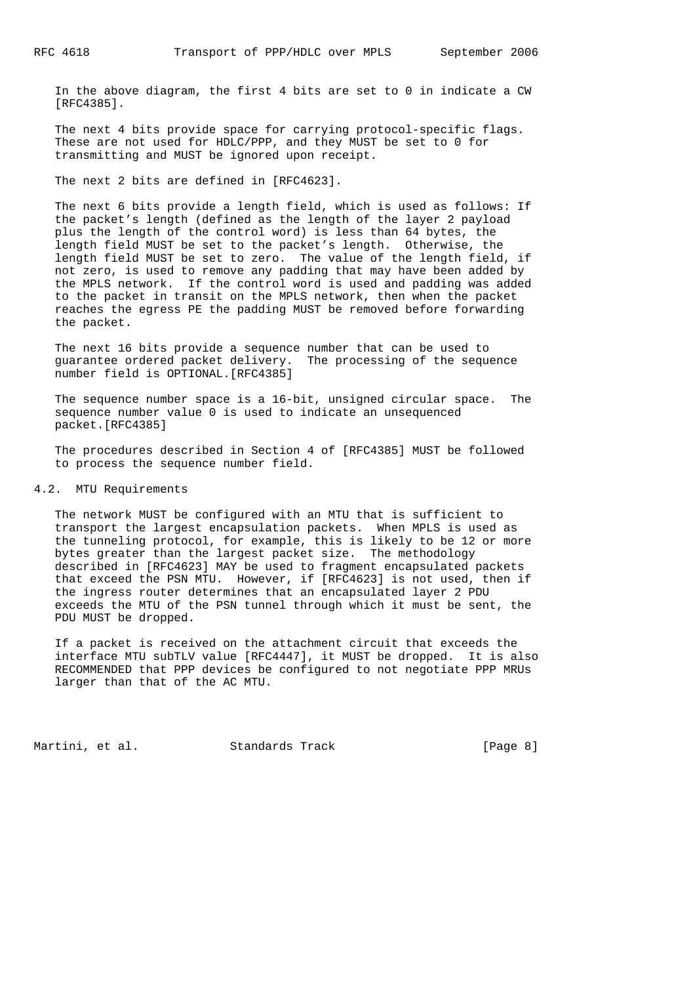In the above diagram, the first 4 bits are set to 0 in indicate a CW [RFC4385].

 The next 4 bits provide space for carrying protocol-specific flags. These are not used for HDLC/PPP, and they MUST be set to 0 for transmitting and MUST be ignored upon receipt.

The next 2 bits are defined in [RFC4623].

 The next 6 bits provide a length field, which is used as follows: If the packet's length (defined as the length of the layer 2 payload plus the length of the control word) is less than 64 bytes, the length field MUST be set to the packet's length. Otherwise, the length field MUST be set to zero. The value of the length field, if not zero, is used to remove any padding that may have been added by the MPLS network. If the control word is used and padding was added to the packet in transit on the MPLS network, then when the packet reaches the egress PE the padding MUST be removed before forwarding the packet.

 The next 16 bits provide a sequence number that can be used to guarantee ordered packet delivery. The processing of the sequence number field is OPTIONAL.[RFC4385]

 The sequence number space is a 16-bit, unsigned circular space. The sequence number value 0 is used to indicate an unsequenced packet.[RFC4385]

 The procedures described in Section 4 of [RFC4385] MUST be followed to process the sequence number field.

### 4.2. MTU Requirements

 The network MUST be configured with an MTU that is sufficient to transport the largest encapsulation packets. When MPLS is used as the tunneling protocol, for example, this is likely to be 12 or more bytes greater than the largest packet size. The methodology described in [RFC4623] MAY be used to fragment encapsulated packets that exceed the PSN MTU. However, if [RFC4623] is not used, then if the ingress router determines that an encapsulated layer 2 PDU exceeds the MTU of the PSN tunnel through which it must be sent, the PDU MUST be dropped.

 If a packet is received on the attachment circuit that exceeds the interface MTU subTLV value [RFC4447], it MUST be dropped. It is also RECOMMENDED that PPP devices be configured to not negotiate PPP MRUs larger than that of the AC MTU.

Martini, et al. Standards Track [Page 8]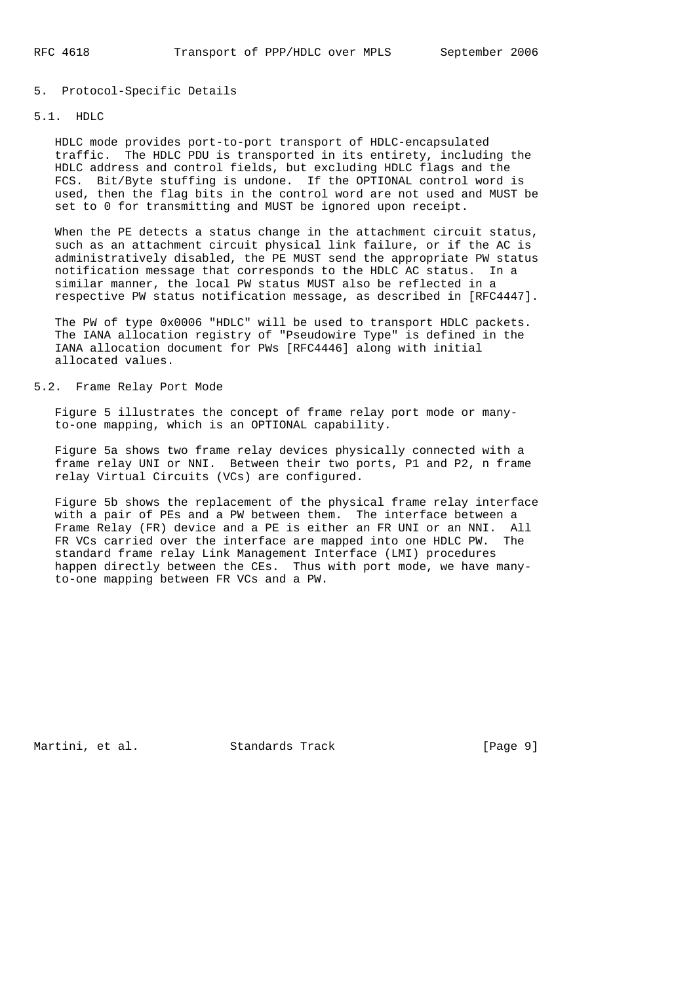# 5. Protocol-Specific Details

# 5.1. HDLC

 HDLC mode provides port-to-port transport of HDLC-encapsulated traffic. The HDLC PDU is transported in its entirety, including the HDLC address and control fields, but excluding HDLC flags and the FCS. Bit/Byte stuffing is undone. If the OPTIONAL control word is used, then the flag bits in the control word are not used and MUST be set to 0 for transmitting and MUST be ignored upon receipt.

When the PE detects a status change in the attachment circuit status, such as an attachment circuit physical link failure, or if the AC is administratively disabled, the PE MUST send the appropriate PW status notification message that corresponds to the HDLC AC status. In a similar manner, the local PW status MUST also be reflected in a respective PW status notification message, as described in [RFC4447].

 The PW of type 0x0006 "HDLC" will be used to transport HDLC packets. The IANA allocation registry of "Pseudowire Type" is defined in the IANA allocation document for PWs [RFC4446] along with initial allocated values.

# 5.2. Frame Relay Port Mode

 Figure 5 illustrates the concept of frame relay port mode or many to-one mapping, which is an OPTIONAL capability.

 Figure 5a shows two frame relay devices physically connected with a frame relay UNI or NNI. Between their two ports, P1 and P2, n frame relay Virtual Circuits (VCs) are configured.

 Figure 5b shows the replacement of the physical frame relay interface with a pair of PEs and a PW between them. The interface between a Frame Relay (FR) device and a PE is either an FR UNI or an NNI. All FR VCs carried over the interface are mapped into one HDLC PW. The standard frame relay Link Management Interface (LMI) procedures happen directly between the CEs. Thus with port mode, we have many to-one mapping between FR VCs and a PW.

Martini, et al. Standards Track [Page 9]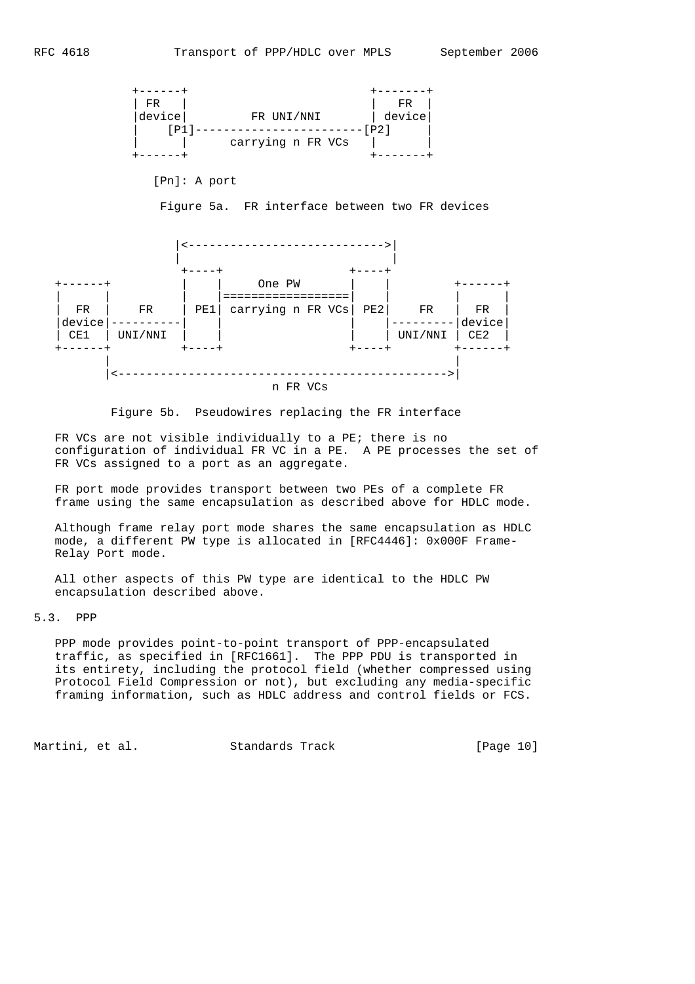

[Pn]: A port

Figure 5a. FR interface between two FR devices



Figure 5b. Pseudowires replacing the FR interface

FR VCs are not visible individually to a PE; there is no configuration of individual FR VC in a PE. A PE processes the set of FR VCs assigned to a port as an aggregate.

 FR port mode provides transport between two PEs of a complete FR frame using the same encapsulation as described above for HDLC mode.

 Although frame relay port mode shares the same encapsulation as HDLC mode, a different PW type is allocated in [RFC4446]: 0x000F Frame- Relay Port mode.

 All other aspects of this PW type are identical to the HDLC PW encapsulation described above.

5.3. PPP

 PPP mode provides point-to-point transport of PPP-encapsulated traffic, as specified in [RFC1661]. The PPP PDU is transported in its entirety, including the protocol field (whether compressed using Protocol Field Compression or not), but excluding any media-specific framing information, such as HDLC address and control fields or FCS.

Martini, et al. Standards Track [Page 10]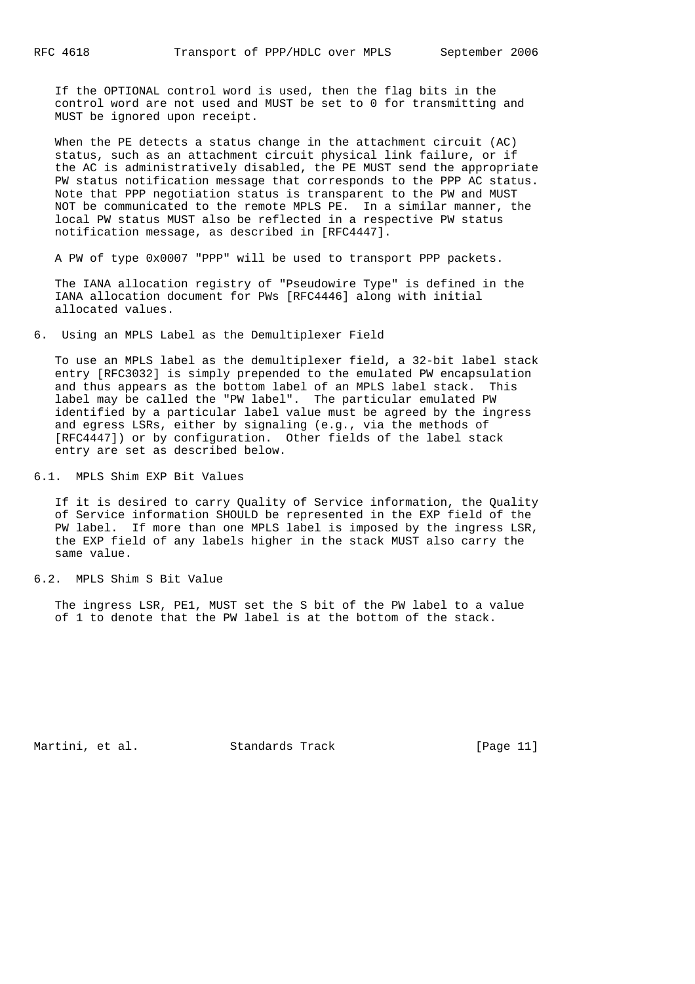If the OPTIONAL control word is used, then the flag bits in the control word are not used and MUST be set to 0 for transmitting and MUST be ignored upon receipt.

 When the PE detects a status change in the attachment circuit (AC) status, such as an attachment circuit physical link failure, or if the AC is administratively disabled, the PE MUST send the appropriate PW status notification message that corresponds to the PPP AC status. Note that PPP negotiation status is transparent to the PW and MUST NOT be communicated to the remote MPLS PE. In a similar manner, the local PW status MUST also be reflected in a respective PW status notification message, as described in [RFC4447].

A PW of type 0x0007 "PPP" will be used to transport PPP packets.

 The IANA allocation registry of "Pseudowire Type" is defined in the IANA allocation document for PWs [RFC4446] along with initial allocated values.

6. Using an MPLS Label as the Demultiplexer Field

 To use an MPLS label as the demultiplexer field, a 32-bit label stack entry [RFC3032] is simply prepended to the emulated PW encapsulation and thus appears as the bottom label of an MPLS label stack. This label may be called the "PW label". The particular emulated PW identified by a particular label value must be agreed by the ingress and egress LSRs, either by signaling (e.g., via the methods of [RFC4447]) or by configuration. Other fields of the label stack entry are set as described below.

6.1. MPLS Shim EXP Bit Values

 If it is desired to carry Quality of Service information, the Quality of Service information SHOULD be represented in the EXP field of the PW label. If more than one MPLS label is imposed by the ingress LSR, the EXP field of any labels higher in the stack MUST also carry the same value.

# 6.2. MPLS Shim S Bit Value

 The ingress LSR, PE1, MUST set the S bit of the PW label to a value of 1 to denote that the PW label is at the bottom of the stack.

Martini, et al. Standards Track [Page 11]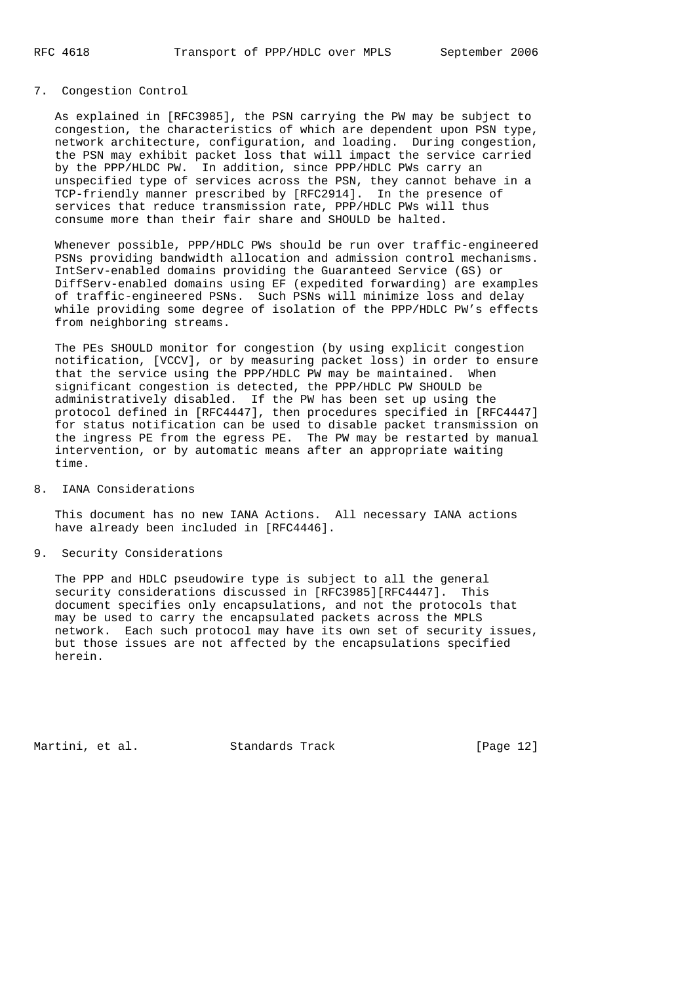# 7. Congestion Control

 As explained in [RFC3985], the PSN carrying the PW may be subject to congestion, the characteristics of which are dependent upon PSN type, network architecture, configuration, and loading. During congestion, the PSN may exhibit packet loss that will impact the service carried by the PPP/HLDC PW. In addition, since PPP/HDLC PWs carry an unspecified type of services across the PSN, they cannot behave in a TCP-friendly manner prescribed by [RFC2914]. In the presence of services that reduce transmission rate, PPP/HDLC PWs will thus consume more than their fair share and SHOULD be halted.

 Whenever possible, PPP/HDLC PWs should be run over traffic-engineered PSNs providing bandwidth allocation and admission control mechanisms. IntServ-enabled domains providing the Guaranteed Service (GS) or DiffServ-enabled domains using EF (expedited forwarding) are examples of traffic-engineered PSNs. Such PSNs will minimize loss and delay while providing some degree of isolation of the PPP/HDLC PW's effects from neighboring streams.

 The PEs SHOULD monitor for congestion (by using explicit congestion notification, [VCCV], or by measuring packet loss) in order to ensure that the service using the PPP/HDLC PW may be maintained. When significant congestion is detected, the PPP/HDLC PW SHOULD be administratively disabled. If the PW has been set up using the protocol defined in [RFC4447], then procedures specified in [RFC4447] for status notification can be used to disable packet transmission on the ingress PE from the egress PE. The PW may be restarted by manual intervention, or by automatic means after an appropriate waiting time.

8. IANA Considerations

 This document has no new IANA Actions. All necessary IANA actions have already been included in [RFC4446].

9. Security Considerations

 The PPP and HDLC pseudowire type is subject to all the general security considerations discussed in [RFC3985][RFC4447]. This document specifies only encapsulations, and not the protocols that may be used to carry the encapsulated packets across the MPLS network. Each such protocol may have its own set of security issues, but those issues are not affected by the encapsulations specified herein.

Martini, et al. Standards Track [Page 12]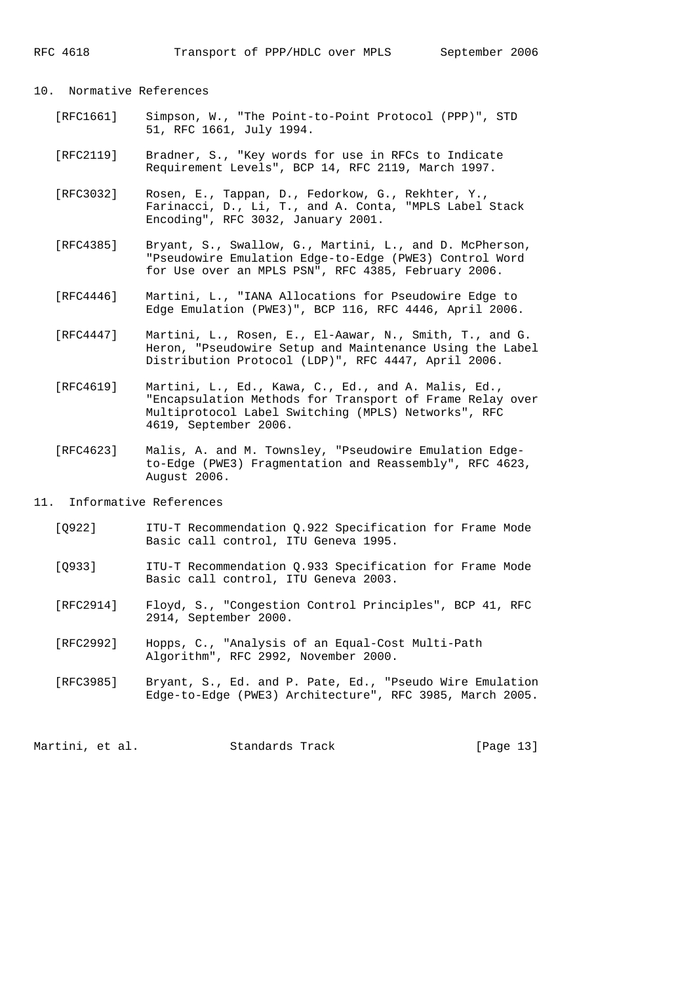### 10. Normative References

- [RFC1661] Simpson, W., "The Point-to-Point Protocol (PPP)", STD 51, RFC 1661, July 1994.
- [RFC2119] Bradner, S., "Key words for use in RFCs to Indicate Requirement Levels", BCP 14, RFC 2119, March 1997.
- [RFC3032] Rosen, E., Tappan, D., Fedorkow, G., Rekhter, Y., Farinacci, D., Li, T., and A. Conta, "MPLS Label Stack Encoding", RFC 3032, January 2001.
- [RFC4385] Bryant, S., Swallow, G., Martini, L., and D. McPherson, "Pseudowire Emulation Edge-to-Edge (PWE3) Control Word for Use over an MPLS PSN", RFC 4385, February 2006.
- [RFC4446] Martini, L., "IANA Allocations for Pseudowire Edge to Edge Emulation (PWE3)", BCP 116, RFC 4446, April 2006.
- [RFC4447] Martini, L., Rosen, E., El-Aawar, N., Smith, T., and G. Heron, "Pseudowire Setup and Maintenance Using the Label Distribution Protocol (LDP)", RFC 4447, April 2006.
- [RFC4619] Martini, L., Ed., Kawa, C., Ed., and A. Malis, Ed., "Encapsulation Methods for Transport of Frame Relay over Multiprotocol Label Switching (MPLS) Networks", RFC 4619, September 2006.
- [RFC4623] Malis, A. and M. Townsley, "Pseudowire Emulation Edge to-Edge (PWE3) Fragmentation and Reassembly", RFC 4623, August 2006.
- 11. Informative References
	- [Q922] ITU-T Recommendation Q.922 Specification for Frame Mode Basic call control, ITU Geneva 1995.
	- [Q933] ITU-T Recommendation Q.933 Specification for Frame Mode Basic call control, ITU Geneva 2003.
	- [RFC2914] Floyd, S., "Congestion Control Principles", BCP 41, RFC 2914, September 2000.
	- [RFC2992] Hopps, C., "Analysis of an Equal-Cost Multi-Path Algorithm", RFC 2992, November 2000.
- [RFC3985] Bryant, S., Ed. and P. Pate, Ed., "Pseudo Wire Emulation Edge-to-Edge (PWE3) Architecture", RFC 3985, March 2005.

Martini, et al. Standards Track [Page 13]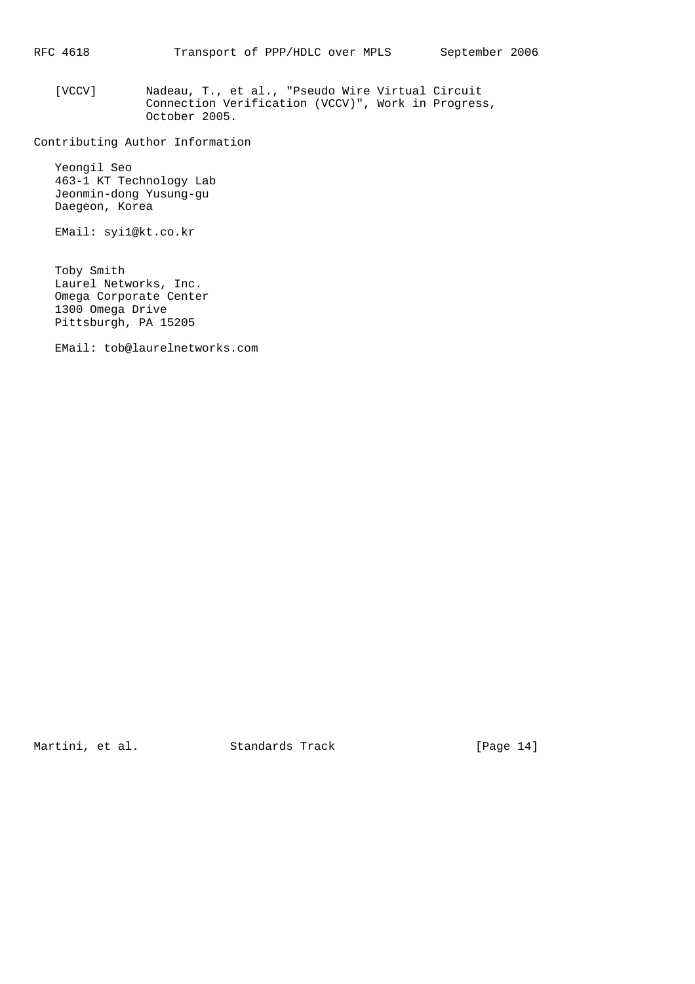[VCCV] Nadeau, T., et al., "Pseudo Wire Virtual Circuit Connection Verification (VCCV)", Work in Progress, October 2005.

Contributing Author Information

 Yeongil Seo 463-1 KT Technology Lab Jeonmin-dong Yusung-gu Daegeon, Korea

EMail: syi1@kt.co.kr

 Toby Smith Laurel Networks, Inc. Omega Corporate Center 1300 Omega Drive Pittsburgh, PA 15205

EMail: tob@laurelnetworks.com

Martini, et al. Standards Track [Page 14]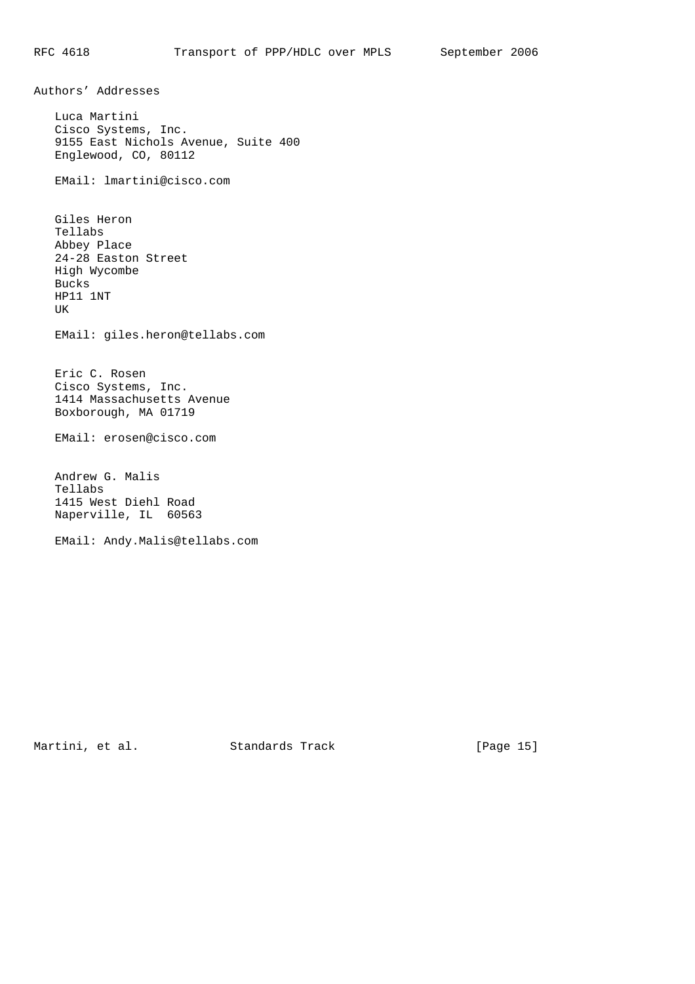Authors' Addresses

 Luca Martini Cisco Systems, Inc. 9155 East Nichols Avenue, Suite 400 Englewood, CO, 80112

EMail: lmartini@cisco.com

 Giles Heron Tellabs Abbey Place 24-28 Easton Street High Wycombe Bucks HP11 1NT UK

EMail: giles.heron@tellabs.com

 Eric C. Rosen Cisco Systems, Inc. 1414 Massachusetts Avenue Boxborough, MA 01719

EMail: erosen@cisco.com

 Andrew G. Malis Tellabs 1415 West Diehl Road Naperville, IL 60563

EMail: Andy.Malis@tellabs.com

Martini, et al. Standards Track [Page 15]